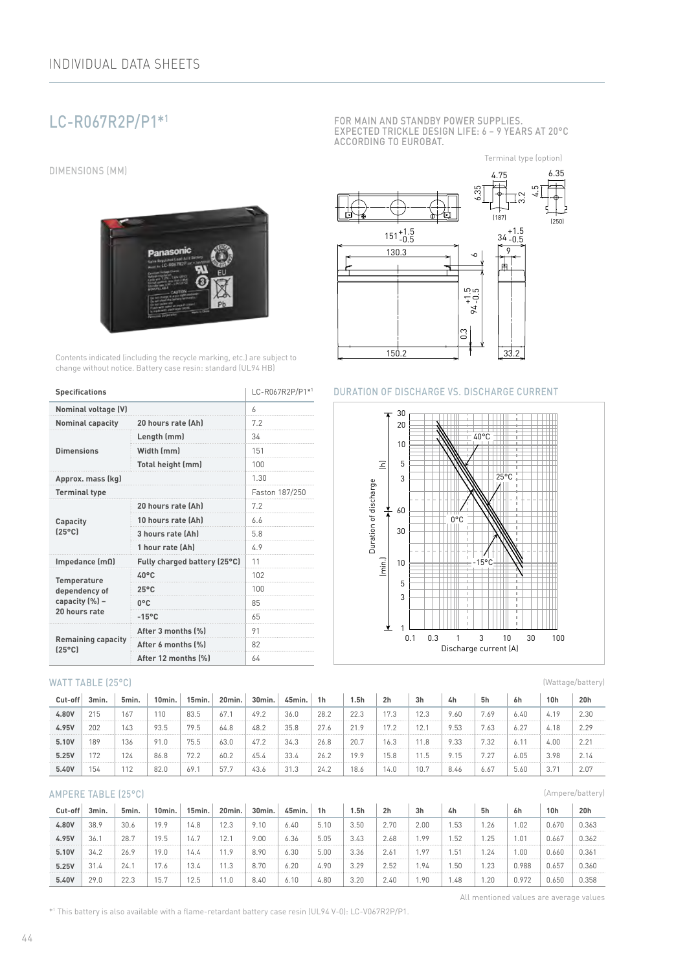# LC-R067R2P/P1\*1

DIMENSIONS (MM)



Contents indicated (including the recycle marking, etc.) are subject to change without notice. Battery case resin: standard (UL94 HB)

| <b>Specifications</b>                        | LC-R067R2P/P1*1              |                |  |  |  |
|----------------------------------------------|------------------------------|----------------|--|--|--|
| Nominal voltage (V)                          |                              | 6              |  |  |  |
| <b>Nominal capacity</b>                      | 20 hours rate (Ah)           | 7.2            |  |  |  |
|                                              | Length (mm)                  | 34             |  |  |  |
| <b>Dimensions</b>                            | Width (mm)                   | 151            |  |  |  |
|                                              | Total height (mm)            | 100            |  |  |  |
| Approx. mass (kg)                            |                              | 1.30           |  |  |  |
| <b>Terminal type</b>                         |                              | Faston 187/250 |  |  |  |
|                                              | 20 hours rate (Ah)           | 7.2            |  |  |  |
| Capacity                                     | 10 hours rate (Ah)           | 6.6            |  |  |  |
| $[25^{\circ}C]$                              | 3 hours rate (Ah)            | 5.8            |  |  |  |
|                                              | 1 hour rate (Ah)             | 4.9            |  |  |  |
| Impedance $(m\Omega)$                        | Fully charged battery (25°C) | 11             |  |  |  |
| <b>Temperature</b>                           | $40^{\circ}$ C               | 102            |  |  |  |
| dependency of                                | $25^{\circ}$ C               | 100            |  |  |  |
| capacity (%) -                               | 0°C                          | 85             |  |  |  |
| 20 hours rate                                | $-15^{\circ}$ C              | 65             |  |  |  |
|                                              | After 3 months (%)           | 91             |  |  |  |
| <b>Remaining capacity</b><br>$(25^{\circ}C)$ | After 6 months [%]           | 82             |  |  |  |
|                                              | After 12 months (%)          | 64             |  |  |  |

#### WATT TABLE (25°C)

| Cut-off | 3min. | 5min. | $10$ min. | 15min. | 20min. | 30min. | 45min. | 1 <sub>h</sub> | 1.5h | 2 <sub>h</sub> | 3h   | 4h   | 5h     | 6h   | 10h  | 20h  |
|---------|-------|-------|-----------|--------|--------|--------|--------|----------------|------|----------------|------|------|--------|------|------|------|
| 4.80V   | 215   | 167   | 110       | 83.5   | 67.1   | 49.2   | 36.0   | 28.2           | 22.3 | 17.3           | 12.3 | 9.60 | 7.69   | 6.40 | 4.19 | 2.30 |
| 4.95V   | 202   | 143   | 93.5      | 79.5   | 64.8   | 48.2   | 35.8   | 27.6           | 219  | 17.2           | 12.1 | 9.53 | 7.63   | 6.27 | 4.18 | 2.29 |
| 5.10V   | 189   | 136   | 91.0      | 75.5   | 63.0   | 47.2   | 34.3   | 26.8           | 20.7 | 16.3           | 11.8 | 9.33 | 7.32   |      | 4.00 | 2.21 |
| 5.25V   | 172   | 124   | 86.8      | 72.2   | 60.2   | 45.4   | 33.4   | 26.2           | 19.9 | 15.8           | 11.5 |      | $\cap$ | 6.05 | 3.98 | 2.14 |
| 5.40V   | '54   | 112   | 82.0      | 69.    | 57.7   | 43.6   | 31.3   | 24.2           | 18.6 | 14.0           | 10.7 | 8.46 | 6.6    | 5.60 | 3.71 | 2.07 |

#### AMPERE TABLE (25°C)

| Cut-off | 3min. | 5min. | 10min. | 15min. | 20min. | 30 <sub>min</sub> | 45min. | 1 <sub>h</sub> | 5h   | 2 <sub>h</sub> | 3 <sub>h</sub> | 4h    | 5h  | 6h    | 10h   | 20h   |
|---------|-------|-------|--------|--------|--------|-------------------|--------|----------------|------|----------------|----------------|-------|-----|-------|-------|-------|
| 4.80V   | 38.9  | 30.6  | 100    | 4.8    | 12.3   | 9.10              | 6.40   | 5.10           | 3.50 | 2.70           | 2.00           | .53   | .26 | .02   | 0.670 | 0.363 |
| 4.95V   | 36.   | 28.7  | 10 R   | 14.7   | 12.    | 9.00              | 6.36   | 5.05           | 3.43 | 2.68           | 99             | . 52  | .25 | . .01 | 0.667 | 0.362 |
| 5.10V   | 34.2  | 26.9  | 19.6   | 4.4    | 11.9   | 8.90              | 6.30   | 5.00           | 3.36 | 2.61           | 97             | 51، ، | .24 | .00   | 0.660 | 0.36' |
| 5.25V   | 31.4  | 24.   |        | 3.4    | 11.3   | 8.70              | 6.20   | 4.90           | 3.29 | 2.52           | . . 94         | .50   | .23 | .988  | 0.657 | 0.360 |
| 5.40V   | 29.0  | 22.3  | 15.    | 2.5    | 11.0   | 8.40              | 6.10   | 4.80           | 3.20 | 2.40           | 1.90           | 48. ا | .20 | 0.972 | 0.650 | 0.358 |

FOR MAIN AND STANDBY POWER SUPPLIES. EXPECTED TRICKLE DESIGN LIFE: 6 – 9 YEARS AT 20°C ACCORDING TO EUROBAT.



#### DURATION OF DISCHARGE VS. DISCHARGE CURRENT



(Ampere/battery)

All mentioned values are average values

(Wattage/battery)

\*1 This battery is also available with a flame-retardant battery case resin (UL94 V-0): LC-V067R2P/P1.